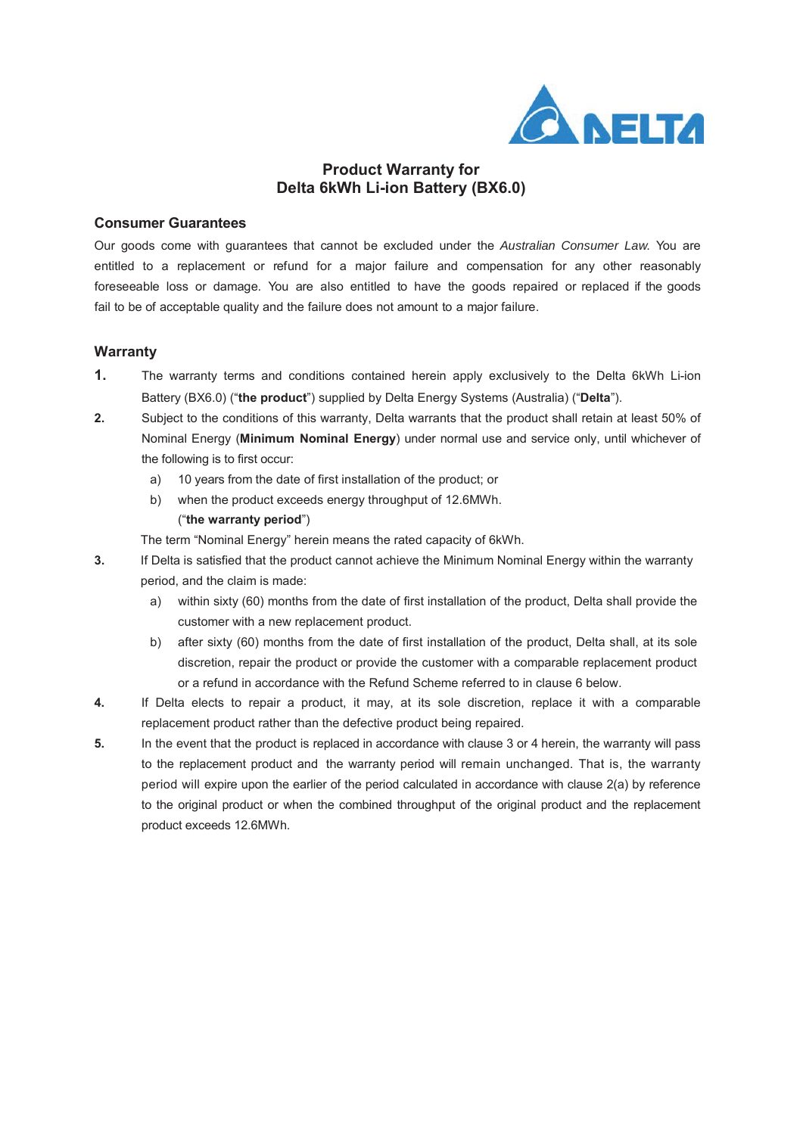

# **Product Warranty for Delta 6kWh Li-ion Battery (BX6.0)**

### **Consumer Guarantees**

Our goods come with guarantees that cannot be excluded under the *Australian Consumer Law*. You are entitled to a replacement or refund for a major failure and compensation for any other reasonably foreseeable loss or damage. You are also entitled to have the goods repaired or replaced if the goods fail to be of acceptable quality and the failure does not amount to a major failure.

#### **Warranty**

- **1.** The warranty terms and conditions contained herein apply exclusively to the Delta 6kWh Li-ion Battery (BX6.0) ("**the product**") supplied by Delta Energy Systems (Australia) ("**Delta**").
- **2.** Subject to the conditions of this warranty, Delta warrants that the product shall retain at least 50% of Nominal Energy (**Minimum Nominal Energy**) under normal use and service only, until whichever of the following is to first occur:
	- a) 10 years from the date of first installation of the product; or
	- b) when the product exceeds energy throughput of 12.6MWh. ("**the warranty period**")

The term "Nominal Energy" herein means the rated capacity of 6kWh.

- **3.** If Delta is satisfied that the product cannot achieve the Minimum Nominal Energy within the warranty period, and the claim is made:
	- a) within sixty (60) months from the date of first installation of the product, Delta shall provide the customer with a new replacement product.
	- b) after sixty (60) months from the date of first installation of the product, Delta shall, at its sole discretion, repair the product or provide the customer with a comparable replacement product or a refund in accordance with the Refund Scheme referred to in clause 6 below.
- **4.** If Delta elects to repair a product, it may, at its sole discretion, replace it with a comparable replacement product rather than the defective product being repaired.
- **5.** In the event that the product is replaced in accordance with clause 3 or 4 herein, the warranty will pass to the replacement product and the warranty period will remain unchanged. That is, the warranty period will expire upon the earlier of the period calculated in accordance with clause 2(a) by reference to the original product or when the combined throughput of the original product and the replacement product exceeds 12.6MWh.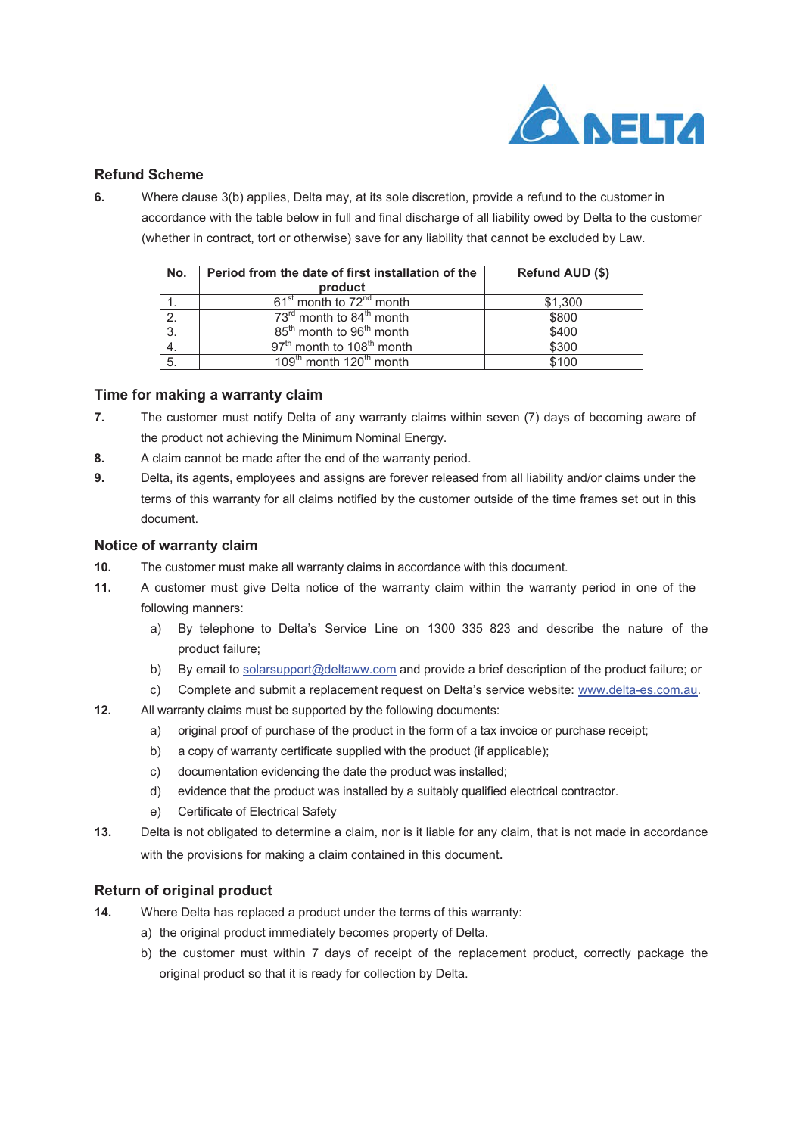

## **Refund Scheme**

**6.** Where clause 3(b) applies, Delta may, at its sole discretion, provide a refund to the customer in accordance with the table below in full and final discharge of all liability owed by Delta to the customer (whether in contract, tort or otherwise) save for any liability that cannot be excluded by Law.

| No. | Period from the date of first installation of the | Refund AUD (\$) |
|-----|---------------------------------------------------|-----------------|
|     | product                                           |                 |
|     | 61 <sup>st</sup> month to 72 <sup>nd</sup> month  | \$1,300         |
|     | 73 <sup>rd</sup> month to 84 <sup>th</sup> month  | \$800           |
| 3.  | 85 <sup>th</sup> month to 96 <sup>th</sup> month  | \$400           |
|     | 97 <sup>th</sup> month to 108 <sup>th</sup> month | \$300           |
| 5.  | 109 <sup>th</sup> month 120 <sup>th</sup> month   | \$100           |

### **Time for making a warranty claim**

- **7.** The customer must notify Delta of any warranty claims within seven (7) days of becoming aware of the product not achieving the Minimum Nominal Energy.
- **8.** A claim cannot be made after the end of the warranty period.
- **9.** Delta, its agents, employees and assigns are forever released from all liability and/or claims under the terms of this warranty for all claims notified by the customer outside of the time frames set out in this document.

#### **Notice of warranty claim**

- **10.** The customer must make all warranty claims in accordance with this document.
- **11.** A customer must give Delta notice of the warranty claim within the warranty period in one of the following manners:
	- a) By telephone to Delta's Service Line on 1300 335 823 and describe the nature of the product failure;
	- b) By email to solarsupport@deltaww.com and provide a brief description of the product failure; or
	- c) Complete and submit a replacement request on Delta's service website: www.delta-es.com.au.
- **12.** All warranty claims must be supported by the following documents:
	- a) original proof of purchase of the product in the form of a tax invoice or purchase receipt;
	- b) a copy of warranty certificate supplied with the product (if applicable);
	- c) documentation evidencing the date the product was installed;
	- d) evidence that the product was installed by a suitably qualified electrical contractor.
	- e) Certificate of Electrical Safety
- **13.** Delta is not obligated to determine a claim, nor is it liable for any claim, that is not made in accordance with the provisions for making a claim contained in this document.

### **Return of original product**

- **14.** Where Delta has replaced a product under the terms of this warranty:
	- a) the original product immediately becomes property of Delta.
	- b) the customer must within 7 days of receipt of the replacement product, correctly package the original product so that it is ready for collection by Delta.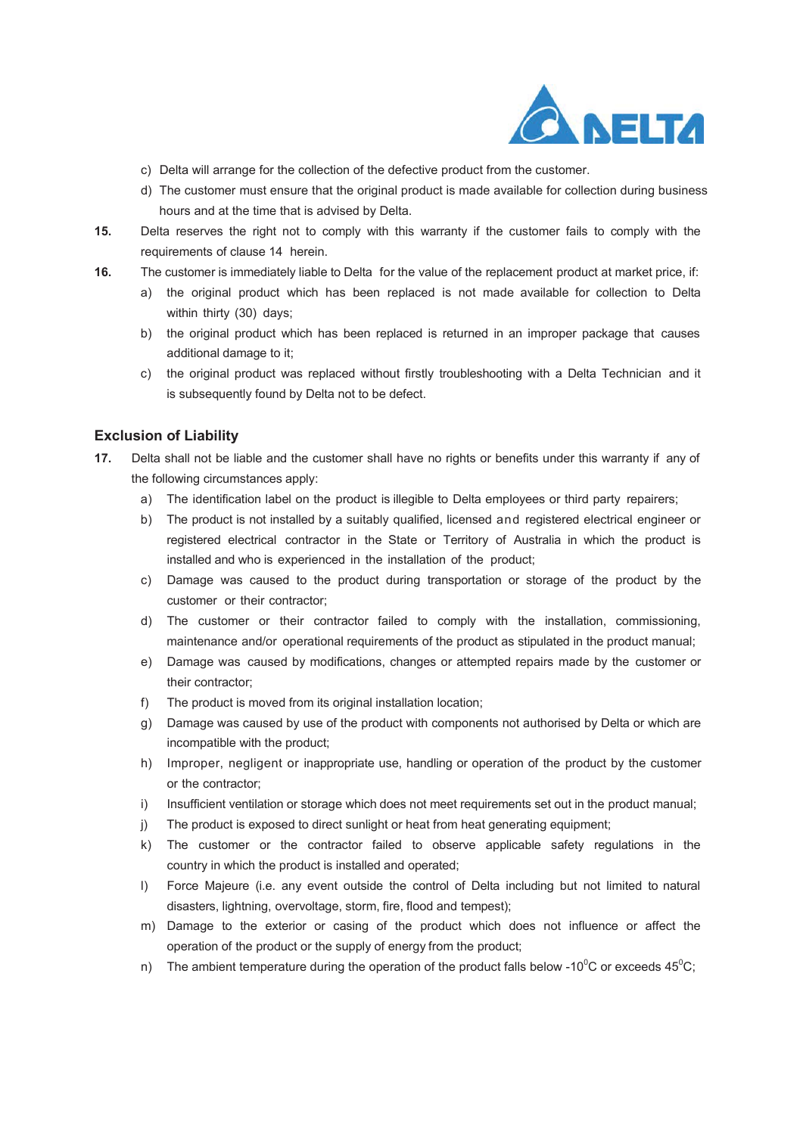

- c) Delta will arrange for the collection of the defective product from the customer.
- d) The customer must ensure that the original product is made available for collection during business hours and at the time that is advised by Delta.
- **15.** Delta reserves the right not to comply with this warranty if the customer fails to comply with the requirements of clause 14 herein.
- **16.** The customer is immediately liable to Delta for the value of the replacement product at market price, if:
	- a) the original product which has been replaced is not made available for collection to Delta within thirty (30) days;
	- b) the original product which has been replaced is returned in an improper package that causes additional damage to it;
	- c) the original product was replaced without firstly troubleshooting with a Delta Technician and it is subsequently found by Delta not to be defect.

## **Exclusion of Liability**

- **17.** Delta shall not be liable and the customer shall have no rights or benefits under this warranty if any of the following circumstances apply:
	- a) The identification label on the product is illegible to Delta employees or third party repairers;
	- b) The product is not installed by a suitably qualified, licensed and registered electrical engineer or registered electrical contractor in the State or Territory of Australia in which the product is installed and who is experienced in the installation of the product;
	- c) Damage was caused to the product during transportation or storage of the product by the customer or their contractor;
	- d) The customer or their contractor failed to comply with the installation, commissioning, maintenance and/or operational requirements of the product as stipulated in the product manual;
	- e) Damage was caused by modifications, changes or attempted repairs made by the customer or their contractor;
	- f) The product is moved from its original installation location:
	- g) Damage was caused by use of the product with components not authorised by Delta or which are incompatible with the product;
	- h) Improper, negligent or inappropriate use, handling or operation of the product by the customer or the contractor;
	- i) Insufficient ventilation or storage which does not meet requirements set out in the product manual;
	- j) The product is exposed to direct sunlight or heat from heat generating equipment;
	- k) The customer or the contractor failed to observe applicable safety regulations in the country in which the product is installed and operated;
	- l) Force Majeure (i.e. any event outside the control of Delta including but not limited to natural disasters, lightning, overvoltage, storm, fire, flood and tempest);
	- m) Damage to the exterior or casing of the product which does not influence or affect the operation of the product or the supply of energy from the product;
	- n) The ambient temperature during the operation of the product falls below -10 $^0\text{C}$  or exceeds 45 $^0\text{C}$ ;